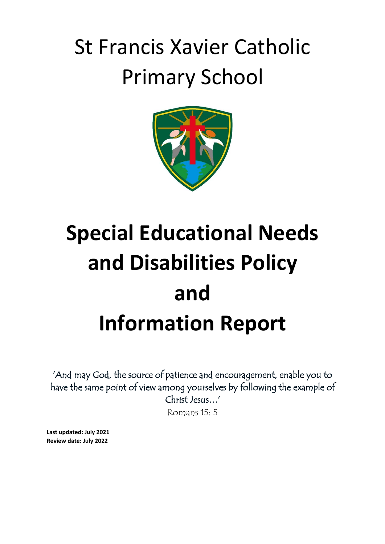# St Francis Xavier Catholic Primary School



# **Special Educational Needs and Disabilities Policy and Information Report**

'And may God, the source of patience and encouragement, enable you to have the same point of view among yourselves by following the example of Christ Jesus…'

Romans 15: 5

**Last updated: July 2021 Review date: July 2022**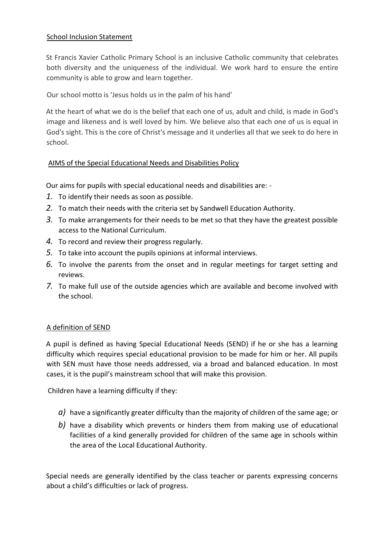# School Inclusion Statement

St Francis Xavier Catholic Primary School is an inclusive Catholic community that celebrates both diversity and the uniqueness of the individual. We work hard to ensure the entire community is able to grow and learn together.

Our school motto is 'Jesus holds us in the palm of his hand'

At the heart of what we do is the belief that each one of us, adult and child, is made in God's image and likeness and is well loved by him. We believe also that each one of us is equal in God's sight. This is the core of Christ's message and it underlies all that we seek to do here in school.

# AIMS of the Special Educational Needs and Disabilities Policy

Our aims for pupils with special educational needs and disabilities are: -

- *1.* To identify their needs as soon as possible.
- *2.* To match their needs with the criteria set by Sandwell Education Authority.
- *3.* To make arrangements for their needs to be met so that they have the greatest possible access to the National Curriculum.
- *4.* To record and review their progress regularly.
- *5.* To take into account the pupils opinions at informal interviews.
- *6.* To involve the parents from the onset and in regular meetings for target setting and reviews.
- *7.* To make full use of the outside agencies which are available and become involved with the school.

# A definition of SEND

A pupil is defined as having Special Educational Needs (SEND) if he or she has a learning difficulty which requires special educational provision to be made for him or her. All pupils with SEN must have those needs addressed, via a broad and balanced education. In most cases, it is the pupil's mainstream school that will make this provision.

Children have a learning difficulty if they:

- *a)* have a significantly greater difficulty than the majority of children of the same age; or
- *b)* have a disability which prevents or hinders them from making use of educational facilities of a kind generally provided for children of the same age in schools within the area of the Local Educational Authority.

Special needs are generally identified by the class teacher or parents expressing concerns about a child's difficulties or lack of progress.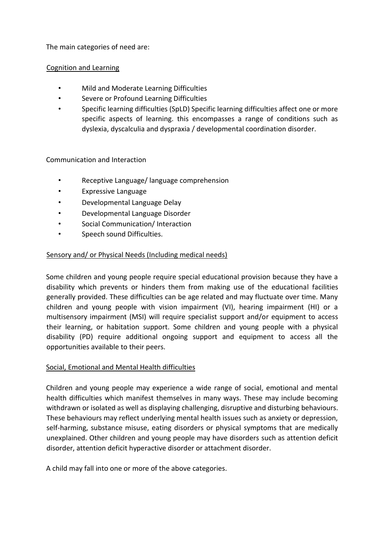The main categories of need are:

# Cognition and Learning

- Mild and Moderate Learning Difficulties
- Severe or Profound Learning Difficulties
- Specific learning difficulties (SpLD) Specific learning difficulties affect one or more specific aspects of learning. this encompasses a range of conditions such as dyslexia, dyscalculia and dyspraxia / developmental coordination disorder.

#### Communication and Interaction

- Receptive Language/ language comprehension
- Expressive Language
- Developmental Language Delay
- Developmental Language Disorder
- Social Communication/ Interaction
- Speech sound Difficulties.

#### Sensory and/ or Physical Needs (Including medical needs)

Some children and young people require special educational provision because they have a disability which prevents or hinders them from making use of the educational facilities generally provided. These difficulties can be age related and may fluctuate over time. Many children and young people with vision impairment (VI), hearing impairment (HI) or a multisensory impairment (MSI) will require specialist support and/or equipment to access their learning, or habitation support. Some children and young people with a physical disability (PD) require additional ongoing support and equipment to access all the opportunities available to their peers.

#### Social, Emotional and Mental Health difficulties

Children and young people may experience a wide range of social, emotional and mental health difficulties which manifest themselves in many ways. These may include becoming withdrawn or isolated as well as displaying challenging, disruptive and disturbing behaviours. These behaviours may reflect underlying mental health issues such as anxiety or depression, self-harming, substance misuse, eating disorders or physical symptoms that are medically unexplained. Other children and young people may have disorders such as attention deficit disorder, attention deficit hyperactive disorder or attachment disorder.

A child may fall into one or more of the above categories.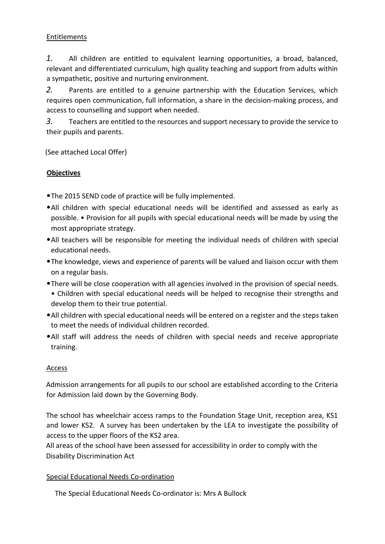# Entitlements

*1.* All children are entitled to equivalent learning opportunities, a broad, balanced, relevant and differentiated curriculum, high quality teaching and support from adults within a sympathetic, positive and nurturing environment.

*2.* Parents are entitled to a genuine partnership with the Education Services, which requires open communication, full information, a share in the decision-making process, and access to counselling and support when needed.

*3.* Teachers are entitled to the resources and support necessary to provide the service to their pupils and parents.

(See attached Local Offer)

# **Objectives**

*•*The 2015 SEND code of practice will be fully implemented.

- *•*All children with special educational needs will be identified and assessed as early as possible. • Provision for all pupils with special educational needs will be made by using the most appropriate strategy.
- *•*All teachers will be responsible for meeting the individual needs of children with special educational needs.
- *•*The knowledge, views and experience of parents will be valued and liaison occur with them on a regular basis.
- *•*There will be close cooperation with all agencies involved in the provision of special needs. • Children with special educational needs will be helped to recognise their strengths and develop them to their true potential.
- *•*All children with special educational needs will be entered on a register and the steps taken to meet the needs of individual children recorded.
- *•*All staff will address the needs of children with special needs and receive appropriate training.

# Access

Admission arrangements for all pupils to our school are established according to the Criteria for Admission laid down by the Governing Body.

The school has wheelchair access ramps to the Foundation Stage Unit, reception area, KS1 and lower KS2. A survey has been undertaken by the LEA to investigate the possibility of access to the upper floors of the KS2 area.

All areas of the school have been assessed for accessibility in order to comply with the Disability Discrimination Act

# Special Educational Needs Co-ordination

The Special Educational Needs Co-ordinator is: Mrs A Bullock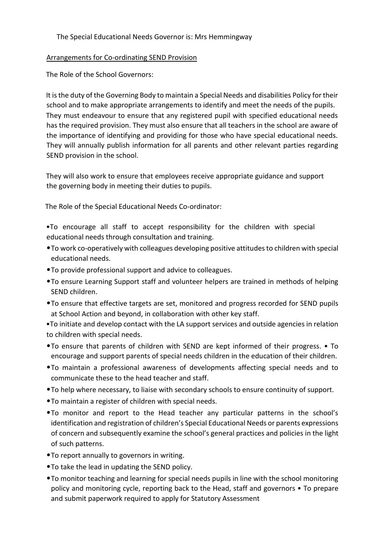#### The Special Educational Needs Governor is: Mrs Hemmingway

#### Arrangements for Co-ordinating SEND Provision

The Role of the School Governors:

It is the duty of the Governing Body to maintain a Special Needs and disabilities Policy for their school and to make appropriate arrangements to identify and meet the needs of the pupils. They must endeavour to ensure that any registered pupil with specified educational needs has the required provision. They must also ensure that all teachers in the school are aware of the importance of identifying and providing for those who have special educational needs. They will annually publish information for all parents and other relevant parties regarding SEND provision in the school.

They will also work to ensure that employees receive appropriate guidance and support the governing body in meeting their duties to pupils.

The Role of the Special Educational Needs Co-ordinator:

•To encourage all staff to accept responsibility for the children with special educational needs through consultation and training.

- *•*To work co-operatively with colleagues developing positive attitudes to children with special educational needs.
- *•*To provide professional support and advice to colleagues.
- *•*To ensure Learning Support staff and volunteer helpers are trained in methods of helping SEND children.
- *•*To ensure that effective targets are set, monitored and progress recorded for SEND pupils at School Action and beyond, in collaboration with other key staff.

•To initiate and develop contact with the LA support services and outside agencies in relation to children with special needs.

- *•*To ensure that parents of children with SEND are kept informed of their progress. To encourage and support parents of special needs children in the education of their children.
- *•*To maintain a professional awareness of developments affecting special needs and to communicate these to the head teacher and staff.
- *•*To help where necessary, to liaise with secondary schools to ensure continuity of support.
- *•*To maintain a register of children with special needs.
- *•*To monitor and report to the Head teacher any particular patterns in the school's identification and registration of children's Special Educational Needs or parents expressions of concern and subsequently examine the school's general practices and policies in the light of such patterns.
- *•*To report annually to governors in writing.
- *•*To take the lead in updating the SEND policy.
- *•*To monitor teaching and learning for special needs pupils in line with the school monitoring policy and monitoring cycle, reporting back to the Head, staff and governors • To prepare and submit paperwork required to apply for Statutory Assessment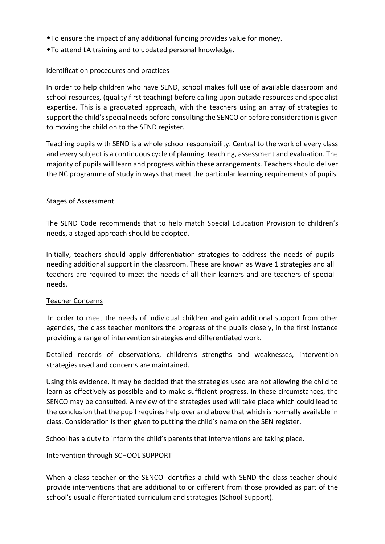- *•*To ensure the impact of any additional funding provides value for money.
- *•*To attend LA training and to updated personal knowledge.

# Identification procedures and practices

In order to help children who have SEND, school makes full use of available classroom and school resources, (quality first teaching) before calling upon outside resources and specialist expertise. This is a graduated approach, with the teachers using an array of strategies to support the child's special needs before consulting the SENCO or before consideration is given to moving the child on to the SEND register.

Teaching pupils with SEND is a whole school responsibility. Central to the work of every class and every subject is a continuous cycle of planning, teaching, assessment and evaluation. The majority of pupils will learn and progress within these arrangements. Teachers should deliver the NC programme of study in ways that meet the particular learning requirements of pupils.

#### Stages of Assessment

The SEND Code recommends that to help match Special Education Provision to children's needs, a staged approach should be adopted.

Initially, teachers should apply differentiation strategies to address the needs of pupils needing additional support in the classroom. These are known as Wave 1 strategies and all teachers are required to meet the needs of all their learners and are teachers of special needs.

#### Teacher Concerns

In order to meet the needs of individual children and gain additional support from other agencies, the class teacher monitors the progress of the pupils closely, in the first instance providing a range of intervention strategies and differentiated work.

Detailed records of observations, children's strengths and weaknesses, intervention strategies used and concerns are maintained.

Using this evidence, it may be decided that the strategies used are not allowing the child to learn as effectively as possible and to make sufficient progress. In these circumstances, the SENCO may be consulted. A review of the strategies used will take place which could lead to the conclusion that the pupil requires help over and above that which is normally available in class. Consideration is then given to putting the child's name on the SEN register.

School has a duty to inform the child's parents that interventions are taking place.

#### Intervention through SCHOOL SUPPORT

When a class teacher or the SENCO identifies a child with SEND the class teacher should provide interventions that are additional to or different from those provided as part of the school's usual differentiated curriculum and strategies (School Support).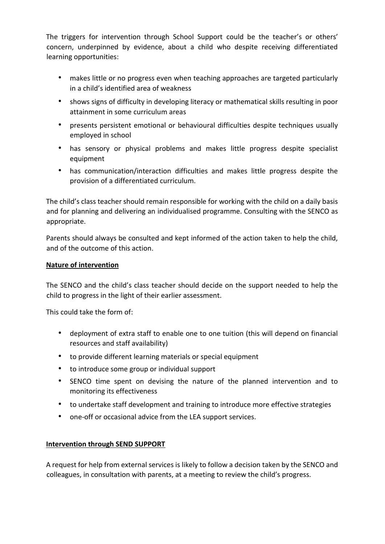The triggers for intervention through School Support could be the teacher's or others' concern, underpinned by evidence, about a child who despite receiving differentiated learning opportunities:

- makes little or no progress even when teaching approaches are targeted particularly in a child's identified area of weakness
- shows signs of difficulty in developing literacy or mathematical skills resulting in poor attainment in some curriculum areas
- presents persistent emotional or behavioural difficulties despite techniques usually employed in school
- has sensory or physical problems and makes little progress despite specialist equipment
- has communication/interaction difficulties and makes little progress despite the provision of a differentiated curriculum.

The child's class teacher should remain responsible for working with the child on a daily basis and for planning and delivering an individualised programme. Consulting with the SENCO as appropriate.

Parents should always be consulted and kept informed of the action taken to help the child, and of the outcome of this action.

# **Nature of intervention**

The SENCO and the child's class teacher should decide on the support needed to help the child to progress in the light of their earlier assessment.

This could take the form of:

- deployment of extra staff to enable one to one tuition (this will depend on financial resources and staff availability)
- to provide different learning materials or special equipment
- to introduce some group or individual support
- SENCO time spent on devising the nature of the planned intervention and to monitoring its effectiveness
- to undertake staff development and training to introduce more effective strategies
- one-off or occasional advice from the LEA support services.

# **Intervention through SEND SUPPORT**

A request for help from external services is likely to follow a decision taken by the SENCO and colleagues, in consultation with parents, at a meeting to review the child's progress.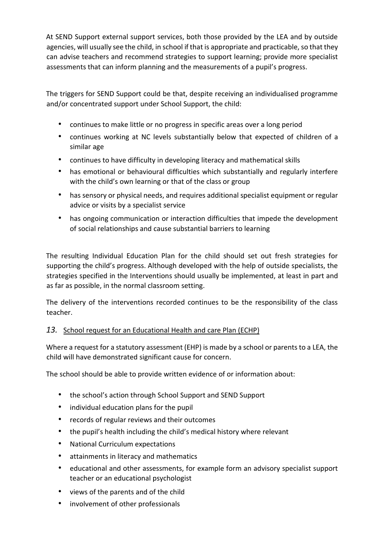At SEND Support external support services, both those provided by the LEA and by outside agencies, will usually see the child, in school if that is appropriate and practicable, so that they can advise teachers and recommend strategies to support learning; provide more specialist assessments that can inform planning and the measurements of a pupil's progress.

The triggers for SEND Support could be that, despite receiving an individualised programme and/or concentrated support under School Support, the child:

- continues to make little or no progress in specific areas over a long period
- continues working at NC levels substantially below that expected of children of a similar age
- continues to have difficulty in developing literacy and mathematical skills
- has emotional or behavioural difficulties which substantially and regularly interfere with the child's own learning or that of the class or group
- has sensory or physical needs, and requires additional specialist equipment or regular advice or visits by a specialist service
- has ongoing communication or interaction difficulties that impede the development of social relationships and cause substantial barriers to learning

The resulting Individual Education Plan for the child should set out fresh strategies for supporting the child's progress. Although developed with the help of outside specialists, the strategies specified in the Interventions should usually be implemented, at least in part and as far as possible, in the normal classroom setting.

The delivery of the interventions recorded continues to be the responsibility of the class teacher.

# *13.* School request for an Educational Health and care Plan (ECHP)

Where a request for a statutory assessment (EHP) is made by a school or parents to a LEA, the child will have demonstrated significant cause for concern.

The school should be able to provide written evidence of or information about:

- the school's action through School Support and SEND Support
- individual education plans for the pupil
- records of regular reviews and their outcomes
- the pupil's health including the child's medical history where relevant
- National Curriculum expectations
- attainments in literacy and mathematics
- educational and other assessments, for example form an advisory specialist support teacher or an educational psychologist
- views of the parents and of the child
- involvement of other professionals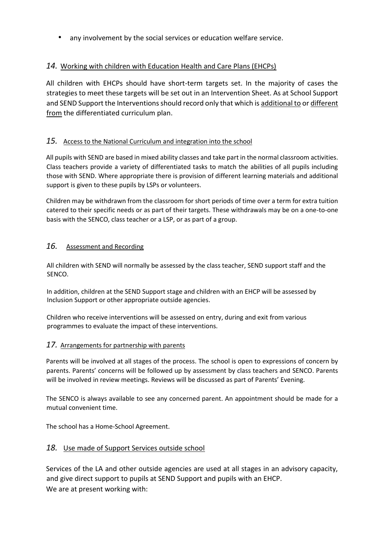• any involvement by the social services or education welfare service.

# *14.* Working with children with Education Health and Care Plans (EHCPs)

All children with EHCPs should have short-term targets set. In the majority of cases the strategies to meet these targets will be set out in an Intervention Sheet. As at School Support and SEND Support the Interventions should record only that which is additional to or different from the differentiated curriculum plan.

# *15.* Access to the National Curriculum and integration into the school

All pupils with SEND are based in mixed ability classes and take part in the normal classroom activities. Class teachers provide a variety of differentiated tasks to match the abilities of all pupils including those with SEND. Where appropriate there is provision of different learning materials and additional support is given to these pupils by LSPs or volunteers.

Children may be withdrawn from the classroom for short periods of time over a term for extra tuition catered to their specific needs or as part of their targets. These withdrawals may be on a one-to-one basis with the SENCO, class teacher or a LSP, or as part of a group.

#### *16.* Assessment and Recording

All children with SEND will normally be assessed by the class teacher, SEND support staff and the SENCO.

In addition, children at the SEND Support stage and children with an EHCP will be assessed by Inclusion Support or other appropriate outside agencies.

Children who receive interventions will be assessed on entry, during and exit from various programmes to evaluate the impact of these interventions.

#### *17.* Arrangements for partnership with parents

Parents will be involved at all stages of the process. The school is open to expressions of concern by parents. Parents' concerns will be followed up by assessment by class teachers and SENCO. Parents will be involved in review meetings. Reviews will be discussed as part of Parents' Evening.

The SENCO is always available to see any concerned parent. An appointment should be made for a mutual convenient time.

The school has a Home-School Agreement.

# *18.* Use made of Support Services outside school

Services of the LA and other outside agencies are used at all stages in an advisory capacity, and give direct support to pupils at SEND Support and pupils with an EHCP. We are at present working with: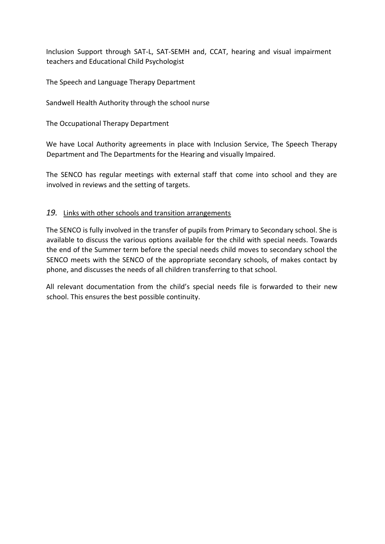Inclusion Support through SAT-L, SAT-SEMH and, CCAT, hearing and visual impairment teachers and Educational Child Psychologist

The Speech and Language Therapy Department

Sandwell Health Authority through the school nurse

The Occupational Therapy Department

We have Local Authority agreements in place with Inclusion Service, The Speech Therapy Department and The Departments for the Hearing and visually Impaired.

The SENCO has regular meetings with external staff that come into school and they are involved in reviews and the setting of targets.

# *19.* Links with other schools and transition arrangements

The SENCO is fully involved in the transfer of pupils from Primary to Secondary school. She is available to discuss the various options available for the child with special needs. Towards the end of the Summer term before the special needs child moves to secondary school the SENCO meets with the SENCO of the appropriate secondary schools, of makes contact by phone, and discusses the needs of all children transferring to that school.

All relevant documentation from the child's special needs file is forwarded to their new school. This ensures the best possible continuity.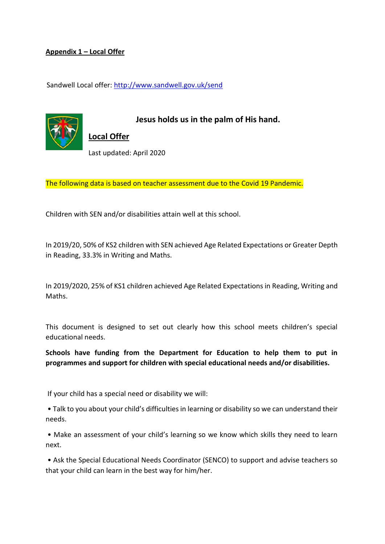#### **Appendix 1 – Local Offer**

Sandwell Local offer:<http://www.sandwell.gov.uk/send>



**Jesus holds us in the palm of His hand.**

**Local Offer** Last updated: April 2020

The following data is based on teacher assessment due to the Covid 19 Pandemic.

Children with SEN and/or disabilities attain well at this school.

In 2019/20, 50% of KS2 children with SEN achieved Age Related Expectations or Greater Depth in Reading, 33.3% in Writing and Maths.

In 2019/2020, 25% of KS1 children achieved Age Related Expectations in Reading, Writing and Maths.

This document is designed to set out clearly how this school meets children's special educational needs.

**Schools have funding from the Department for Education to help them to put in programmes and support for children with special educational needs and/or disabilities.**

If your child has a special need or disability we will:

• Talk to you about your child's difficulties in learning or disability so we can understand their needs.

• Make an assessment of your child's learning so we know which skills they need to learn next.

• Ask the Special Educational Needs Coordinator (SENCO) to support and advise teachers so that your child can learn in the best way for him/her.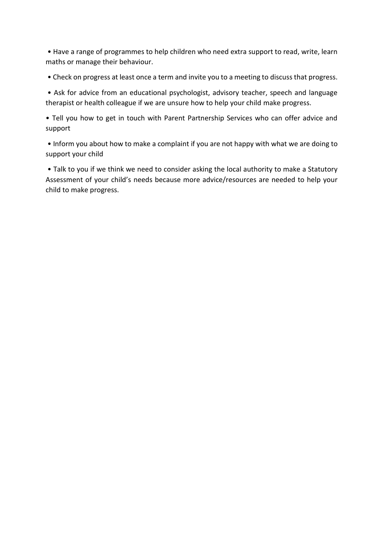• Have a range of programmes to help children who need extra support to read, write, learn maths or manage their behaviour.

• Check on progress at least once a term and invite you to a meeting to discuss that progress.

• Ask for advice from an educational psychologist, advisory teacher, speech and language therapist or health colleague if we are unsure how to help your child make progress.

• Tell you how to get in touch with Parent Partnership Services who can offer advice and support

• Inform you about how to make a complaint if you are not happy with what we are doing to support your child

• Talk to you if we think we need to consider asking the local authority to make a Statutory Assessment of your child's needs because more advice/resources are needed to help your child to make progress.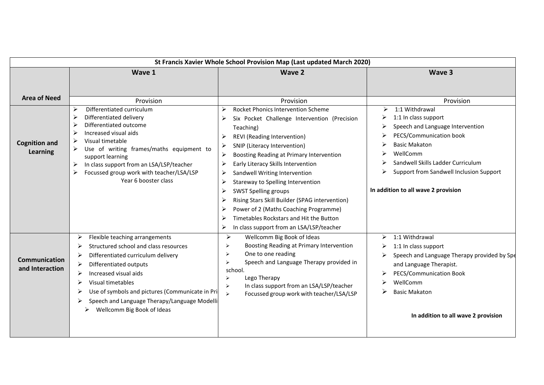| St Francis Xavier Whole School Provision Map (Last updated March 2020) |                                                                                                                                                                                                                                                                                                                                       |                                                                                                                                                                                                                                                                                                                                                                                                                                                                                                                                                                                                                                        |                                                                                                                                                                                                                                                                       |  |  |
|------------------------------------------------------------------------|---------------------------------------------------------------------------------------------------------------------------------------------------------------------------------------------------------------------------------------------------------------------------------------------------------------------------------------|----------------------------------------------------------------------------------------------------------------------------------------------------------------------------------------------------------------------------------------------------------------------------------------------------------------------------------------------------------------------------------------------------------------------------------------------------------------------------------------------------------------------------------------------------------------------------------------------------------------------------------------|-----------------------------------------------------------------------------------------------------------------------------------------------------------------------------------------------------------------------------------------------------------------------|--|--|
|                                                                        | Wave 1                                                                                                                                                                                                                                                                                                                                | <b>Wave 2</b>                                                                                                                                                                                                                                                                                                                                                                                                                                                                                                                                                                                                                          | Wave 3                                                                                                                                                                                                                                                                |  |  |
| <b>Area of Need</b>                                                    | Provision                                                                                                                                                                                                                                                                                                                             | Provision                                                                                                                                                                                                                                                                                                                                                                                                                                                                                                                                                                                                                              | Provision                                                                                                                                                                                                                                                             |  |  |
| <b>Cognition and</b><br><b>Learning</b>                                | Differentiated curriculum<br>⋗<br>Differentiated delivery<br>Differentiated outcome<br>Increased visual aids<br>Visual timetable<br>Use of writing frames/maths equipment to<br>support learning<br>In class support from an LSA/LSP/teacher<br>➤<br>Focussed group work with teacher/LSA/LSP<br>Year 6 booster class                 | Rocket Phonics Intervention Scheme<br>⋗<br>Six Pocket Challenge Intervention (Precision<br>➤<br>Teaching)<br>REVI (Reading Intervention)<br>➤<br>SNIP (Literacy Intervention)<br>$\blacktriangleright$<br>Boosting Reading at Primary Intervention<br>$\blacktriangleright$<br>Early Literacy Skills Intervention<br>Sandwell Writing Intervention<br>➤<br>Stareway to Spelling Intervention<br>➤<br>⋗<br><b>SWST Spelling groups</b><br>Rising Stars Skill Builder (SPAG intervention)<br>≻<br>Power of 2 (Maths Coaching Programme)<br>➤<br>Timetables Rockstars and Hit the Button<br>In class support from an LSA/LSP/teacher<br>➤ | 1:1 Withdrawal<br>➤<br>1:1 In class support<br>Speech and Language Intervention<br>PECS/Communication book<br><b>Basic Makaton</b><br>WellComm<br>Sandwell Skills Ladder Curriculum<br>Support from Sandwell Inclusion Support<br>In addition to all wave 2 provision |  |  |
| <b>Communication</b><br>and Interaction                                | Flexible teaching arrangements<br>➤<br>Structured school and class resources<br>Differentiated curriculum delivery<br>Differentiated outputs<br>Increased visual aids<br>Visual timetables<br>Use of symbols and pictures (Communicate in Pri<br>➤<br>Speech and Language Therapy/Language Modelli<br>Wellcomm Big Book of Ideas<br>≻ | $\blacktriangleright$<br>Wellcomm Big Book of Ideas<br>Boosting Reading at Primary Intervention<br>⋗<br>One to one reading<br>⋗<br>Speech and Language Therapy provided in<br>↘<br>school.<br>Lego Therapy<br>$\blacktriangleright$<br>In class support from an LSA/LSP/teacher<br>$\blacktriangleright$<br>Focussed group work with teacher/LSA/LSP<br>$\blacktriangleright$                                                                                                                                                                                                                                                          | 1:1 Withdrawal<br>≻<br>1:1 In class support<br>➤<br>Speech and Language Therapy provided by Spe<br>and Language Therapist.<br>PECS/Communication Book<br>WellComm<br><b>Basic Makaton</b><br>⋗<br>In addition to all wave 2 provision                                 |  |  |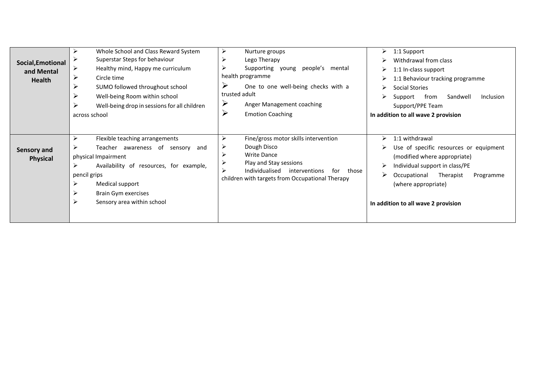| Social, Emotional<br>and Mental<br><b>Health</b> | Whole School and Class Reward System<br>⋗<br>Superstar Steps for behaviour<br>⋗<br>Healthy mind, Happy me curriculum<br>➤<br>Circle time<br>⋗<br>SUMO followed throughout school<br>Well-being Room within school<br>⋗<br>Well-being drop in sessions for all children<br>across school | ➤<br>Nurture groups<br>≻<br>Lego Therapy<br>⋗<br>Supporting young people's mental<br>health programme<br>$\blacktriangleright$<br>One to one well-being checks with a<br>trusted adult<br>➤<br>Anger Management coaching<br>$\blacktriangleright$<br><b>Emotion Coaching</b> | 1:1 Support<br>⋗<br>Withdrawal from class<br>1:1 In-class support<br>➤<br>1:1 Behaviour tracking programme<br>Social Stories<br>➤<br>from<br>Sandwell<br><b>Inclusion</b><br>Support<br>Support/PPE Team<br>In addition to all wave 2 provision |
|--------------------------------------------------|-----------------------------------------------------------------------------------------------------------------------------------------------------------------------------------------------------------------------------------------------------------------------------------------|------------------------------------------------------------------------------------------------------------------------------------------------------------------------------------------------------------------------------------------------------------------------------|-------------------------------------------------------------------------------------------------------------------------------------------------------------------------------------------------------------------------------------------------|
| Sensory and<br><b>Physical</b>                   | ➤<br>Flexible teaching arrangements<br>Teacher awareness of sensory<br>and<br>physical Impairment<br>↘<br>Availability of resources, for example,<br>pencil grips<br>➤<br>Medical support<br>➤<br>Brain Gym exercises<br>➤<br>Sensory area within school                                | ≻<br>Fine/gross motor skills intervention<br>Dough Disco<br><b>Write Dance</b><br>Play and Stay sessions<br>Individualised<br>interventions<br>for<br>those<br>children with targets from Occupational Therapy                                                               | 1:1 withdrawal<br>➤<br>Use of specific resources or equipment<br>(modified where appropriate)<br>Individual support in class/PE<br>➤<br>Occupational<br>Therapist<br>Programme<br>(where appropriate)<br>In addition to all wave 2 provision    |